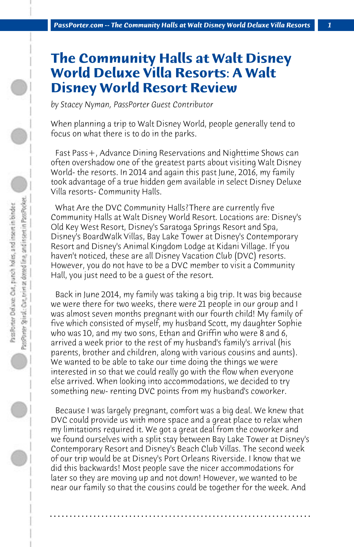## **The Community Halls at Walt Disney World Deluxe Villa Resorts: A Walt Disney World Resort Review**

*by Stacey Nyman, PassPorter Guest Contributor*

When planning a trip to Walt Disney World, people generally tend to focus on what there is to do in the parks.

 Fast Pass+, Advance Dining Reservations and Nighttime Shows can often overshadow one of the greatest parts about visiting Walt Disney World- the resorts. In 2014 and again this past June, 2016, my family took advantage of a true hidden gem available in select Disney Deluxe Villa resorts- Community Halls.

 What Are the DVC Community Halls?There are currently five Community Halls at Walt Disney World Resort. Locations are: Disney's Old Key West Resort, Disney's Saratoga Springs Resort and Spa, Disney's BoardWalk Villas, Bay Lake Tower at Disney's Contemporary Resort and Disney's Animal Kingdom Lodge at Kidani Village. If you haven't noticed, these are all Disney Vacation Club (DVC) resorts. However, you do not have to be a DVC member to visit a Community Hall, you just need to be a guest of the resort.

 Back in June 2014, my family was taking a big trip. It was big because we were there for two weeks, there were 21 people in our group and I was almost seven months pregnant with our fourth child! My family of five which consisted of myself, my husband Scott, my daughter Sophie who was 10, and my two sons, Ethan and Griffin who were 8 and 6, arrived a week prior to the rest of my husband's family's arrival (his parents, brother and children, along with various cousins and aunts). We wanted to be able to take our time doing the things we were interested in so that we could really go with the flow when everyone else arrived. When looking into accommodations, we decided to try something new- renting DVC points from my husband's coworker.

 Because I was largely pregnant, comfort was a big deal. We knew that DVC could provide us with more space and a great place to relax when my limitations required it. We got a great deal from the coworker and we found ourselves with a split stay between Bay Lake Tower at Disney's Contemporary Resort and Disney's Beach Club Villas. The second week of our trip would be at Disney's Port Orleans Riverside. I know that we did this backwards! Most people save the nicer accommodations for later so they are moving up and not down! However, we wanted to be near our family so that the cousins could be together for the week. And

**. . . . . . . . . . . . . . . . . . . . . . . . . . . . . . . . . . . . . . . . . . . . . . . . . . . . . . . . . . . . . . . . . .**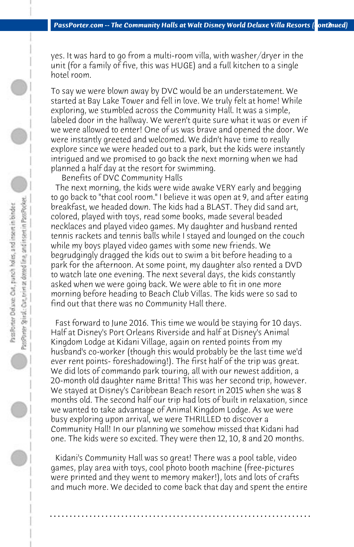yes. It was hard to go from a multi-room villa, with washer/dryer in the unit (for a family of five, this was HUGE) and a full kitchen to a single hotel room.

To say we were blown away by DVC would be an understatement. We started at Bay Lake Tower and fell in love. We truly felt at home! While exploring, we stumbled across the Community Hall. It was a simple, labeled door in the hallway. We weren't quite sure what it was or even if we were allowed to enter! One of us was brave and opened the door. We were instantly greeted and welcomed. We didn't have time to really explore since we were headed out to a park, but the kids were instantly intrigued and we promised to go back the next morning when we had planned a half day at the resort for swimming.

 Benefits of DVC Community Halls

 The next morning, the kids were wide awake VERY early and begging to go back to "that cool room." I believe it was open at 9, and after eating breakfast, we headed down. The kids had a BLAST. They did sand art, colored, played with toys, read some books, made several beaded necklaces and played video games. My daughter and husband rented tennis rackets and tennis balls while I stayed and lounged on the couch while my boys played video games with some new friends. We begrudgingly dragged the kids out to swim a bit before heading to a park for the afternoon. At some point, my daughter also rented a DVD to watch late one evening. The next several days, the kids constantly asked when we were going back. We were able to fit in one more morning before heading to Beach Club Villas. The kids were so sad to find out that there was no Community Hall there.

 Fast forward to June 2016. This time we would be staying for 10 days. Half at Disney's Port Orleans Riverside and half at Disney's Animal Kingdom Lodge at Kidani Village, again on rented points from my husband's co-worker (though this would probably be the last time we'd ever rent points- foreshadowing!). The first half of the trip was great. We did lots of commando park touring, all with our newest addition, a 20-month old daughter name Britta! This was her second trip, however. We stayed at Disney's Caribbean Beach resort in 2015 when she was 8 months old. The second half our trip had lots of built in relaxation, since we wanted to take advantage of Animal Kingdom Lodge. As we were busy exploring upon arrival, we were THRILLED to discover a Community Hall! In our planning we somehow missed that Kidani had one. The kids were so excited. They were then 12, 10, 8 and 20 months.

 Kidani's Community Hall was so great! There was a pool table, video games, play area with toys, cool photo booth machine (free-pictures were printed and they went to memory maker!), lots and lots of crafts and much more. We decided to come back that day and spent the entire

**. . . . . . . . . . . . . . . . . . . . . . . . . . . . . . . . . . . . . . . . . . . . . . . . . . . . . . . . . . . . . . . . . .**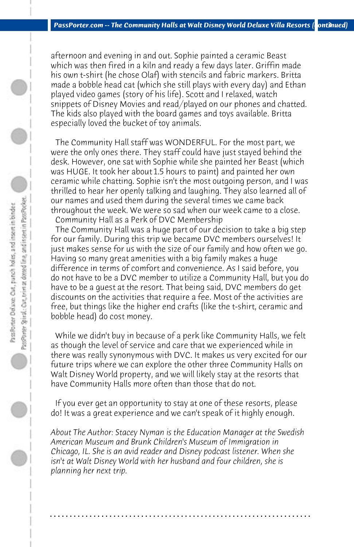afternoon and evening in and out. Sophie painted a ceramic Beast which was then fired in a kiln and ready a few days later. Griffin made his own t-shirt (he chose Olaf) with stencils and fabric markers. Britta made a bobble head cat (which she still plays with every day) and Ethan played video games (story of his life). Scott and I relaxed, watch snippets of Disney Movies and read/played on our phones and chatted. The kids also played with the board games and toys available. Britta especially loved the bucket of toy animals.

 The Community Hall staff was WONDERFUL. For the most part, we were the only ones there. They staff could have just stayed behind the desk. However, one sat with Sophie while she painted her Beast (which was HUGE. It took her about 1.5 hours to paint) and painted her own ceramic while chatting. Sophie isn't the most outgoing person, and I was thrilled to hear her openly talking and laughing. They also learned all of our names and used them during the several times we came back throughout the week. We were so sad when our week came to a close. Community Hall as a Perk of DVC Membership

 The Community Hall was a huge part of our decision to take a big step for our family. During this trip we became DVC members ourselves! It just makes sense for us with the size of our family and how often we go. Having so many great amenities with a big family makes a huge difference in terms of comfort and convenience. As I said before, you do not have to be a DVC member to utilize a Community Hall, but you do have to be a guest at the resort. That being said, DVC members do get discounts on the activities that require a fee. Most of the activities are free, but things like the higher end crafts (like the t-shirt, ceramic and bobble head) do cost money.

 While we didn't buy in because of a perk like Community Halls, we felt as though the level of service and care that we experienced while in there was really synonymous with DVC. It makes us very excited for our future trips where we can explore the other three Community Halls on Walt Disney World property, and we will likely stay at the resorts that have Community Halls more often than those that do not.

 If you ever get an opportunity to stay at one of these resorts, please do! It was a great experience and we can't speak of it highly enough.

*About The Author: Stacey Nyman is the Education Manager at the Swedish American Museum and Brunk Children's Museum of Immigration in Chicago, IL. She is an avid reader and Disney podcast listener. When she isn't at Walt Disney World with her husband and four children, she is planning her next trip.*

**. . . . . . . . . . . . . . . . . . . . . . . . . . . . . . . . . . . . . . . . . . . . . . . . . . . . . . . . . . . . . . . . . .**